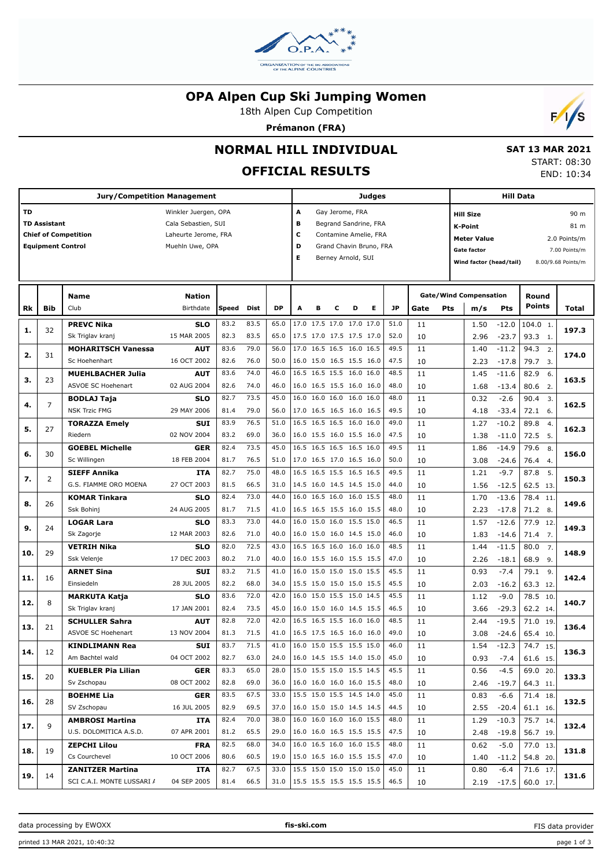

### **OPA Alpen Cup Ski Jumping Women**

18th Alpen Cup Competition

**Prémanon (FRA)**



# **NORMAL HILL INDIVIDUAL**

# **OFFICIAL RESULTS**

 **SAT 13 MAR 2021** START: 08:30 END: 10:34

|     |                                                                                | <b>Jury/Competition Management</b>                                                     |                            |              |              |              |                                                                                                                                             |   |   |                                                      | <b>Judges</b> |              |          |                                                                                                           |                                      | <b>Hill Data</b>                                                    |                                        |       |
|-----|--------------------------------------------------------------------------------|----------------------------------------------------------------------------------------|----------------------------|--------------|--------------|--------------|---------------------------------------------------------------------------------------------------------------------------------------------|---|---|------------------------------------------------------|---------------|--------------|----------|-----------------------------------------------------------------------------------------------------------|--------------------------------------|---------------------------------------------------------------------|----------------------------------------|-------|
| TD  | <b>TD Assistant</b><br><b>Chief of Competition</b><br><b>Equipment Control</b> | Winkler Juergen, OPA<br>Cala Sebastien, SUI<br>Laheurte Jerome, FRA<br>Muehln Uwe, OPA |                            |              |              |              | А<br>Gay Jerome, FRA<br>в<br>Begrand Sandrine, FRA<br>с<br>Contamine Amelie, FRA<br>D<br>Grand Chavin Bruno, FRA<br>Е<br>Berney Arnold, SUI |   |   |                                                      |               |              |          | <b>Hill Size</b><br><b>K-Point</b><br><b>Meter Value</b><br><b>Gate factor</b><br>Wind factor (head/tail) |                                      | 90 m<br>81 m<br>2.0 Points/m<br>7.00 Points/m<br>8.00/9.68 Points/m |                                        |       |
| Rk  | <b>Bib</b>                                                                     | <b>Name</b><br>Club                                                                    | <b>Nation</b><br>Birthdate | Speed        | Dist         | <b>DP</b>    | A                                                                                                                                           | в | c | D                                                    | Е             | <b>JP</b>    | Gate     | Pts                                                                                                       | <b>Gate/Wind Compensation</b><br>m/s | Pts                                                                 | Round<br><b>Points</b>                 | Total |
| 1.  | 32                                                                             | <b>PREVC Nika</b><br>Sk Triglav kranj                                                  | <b>SLO</b><br>15 MAR 2005  | 83.2<br>82.3 | 83.5<br>83.5 | 65.0<br>65.0 |                                                                                                                                             |   |   | 17.0 17.5 17.0 17.0 17.0<br>17.5 17.0 17.5 17.5 17.0 |               | 51.0<br>52.0 | 11<br>10 |                                                                                                           | 1.50<br>2.96                         | $-12.0$<br>$-23.7$                                                  | 104.0 1.<br>93.3 1.                    | 197.3 |
| 2.  | 31                                                                             | <b>MOHARITSCH Vanessa</b><br>Sc Hoehenhart                                             | <b>AUT</b><br>16 OCT 2002  | 83.6<br>82.6 | 79.0<br>76.0 | 56.0<br>50.0 |                                                                                                                                             |   |   | 17.0 16.5 16.5 16.0 16.5<br>16.0 15.0 16.5 15.5 16.0 |               | 49.5<br>47.5 | 11<br>10 |                                                                                                           | 1.40<br>2.23                         | $-11.2$<br>$-17.8$                                                  | 94.3<br>2.<br>79.7<br>$\overline{3}$ . | 174.0 |
| з.  | 23                                                                             | <b>MUEHLBACHER Julia</b><br>ASVOE SC Hoehenart                                         | <b>AUT</b><br>02 AUG 2004  | 83.6<br>82.6 | 74.0<br>74.0 | 46.0<br>46.0 |                                                                                                                                             |   |   | 16.5 16.5 15.5 16.0 16.0<br>16.0 16.5 15.5 16.0 16.0 |               | 48.5<br>48.0 | 11<br>10 |                                                                                                           | 1.45<br>1.68                         | $-11.6$<br>$-13.4$                                                  | 82.9<br>6.<br>80.6<br>2.               | 163.5 |
| 4.  | $\overline{7}$                                                                 | <b>BODLAJ Taja</b><br><b>NSK Trzic FMG</b>                                             | <b>SLO</b><br>29 MAY 2006  | 82.7<br>81.4 | 73.5<br>79.0 | 45.0<br>56.0 |                                                                                                                                             |   |   | 16.0 16.0 16.0 16.0 16.0<br>17.0 16.5 16.5 16.0 16.5 |               | 48.0<br>49.5 | 11<br>10 |                                                                                                           | 0.32<br>4.18                         | $-2.6$<br>$-33.4$                                                   | 90.4<br>3.<br>72.1<br>6.               | 162.5 |
| 5.  | 27                                                                             | <b>TORAZZA Emely</b><br>Riedern                                                        | <b>SUI</b><br>02 NOV 2004  | 83.9<br>83.2 | 76.5<br>69.0 | 51.0<br>36.0 |                                                                                                                                             |   |   | 16.5 16.5 16.5 16.0 16.0<br>16.0 15.5 16.0 15.5 16.0 |               | 49.0<br>47.5 | 11<br>10 |                                                                                                           | 1.27<br>1.38                         | $-10.2$<br>$-11.0$                                                  | 89.8<br>4.<br>72.5<br>5.               | 162.3 |
| 6.  | 30                                                                             | <b>GOEBEL Michelle</b><br>Sc Willingen                                                 | <b>GER</b><br>18 FEB 2004  | 82.4<br>81.7 | 73.5<br>76.5 | 45.0<br>51.0 |                                                                                                                                             |   |   | 16.5 16.5 16.5 16.5 16.0<br>17.0 16.5 17.0 16.5 16.0 |               | 49.5<br>50.0 | 11<br>10 |                                                                                                           | 1.86<br>3.08                         | $-14.9$<br>$-24.6$                                                  | 79.6<br>8.<br>76.4<br>4.               | 156.0 |
| 7.  | 2                                                                              | <b>SIEFF Annika</b><br>G.S. FIAMME ORO MOENA                                           | <b>ITA</b><br>27 OCT 2003  | 82.7<br>81.5 | 75.0<br>66.5 | 48.0<br>31.0 |                                                                                                                                             |   |   | 16.5 16.5 15.5 16.5 16.5<br>14.5 16.0 14.5 14.5 15.0 |               | 49.5<br>44.0 | 11<br>10 |                                                                                                           | 1.21<br>1.56                         | $-9.7$<br>$-12.5$                                                   | 87.8<br>5.<br>62.5 13.                 | 150.3 |
| 8.  | 26                                                                             | <b>KOMAR Tinkara</b><br>Ssk Bohinj                                                     | <b>SLO</b><br>24 AUG 2005  | 82.4<br>81.7 | 73.0<br>71.5 | 44.0<br>41.0 |                                                                                                                                             |   |   | 16.0 16.5 16.0 16.0 15.5<br>16.5 16.5 15.5 16.0 15.5 |               | 48.0<br>48.0 | 11<br>10 |                                                                                                           | 1.70<br>2.23                         | $-13.6$<br>$-17.8$                                                  | 78.4<br>11.<br>71.2 8.                 | 149.6 |
| 9.  | 24                                                                             | <b>LOGAR Lara</b><br>Sk Zagorje                                                        | <b>SLO</b><br>12 MAR 2003  | 83.3<br>82.6 | 73.0<br>71.0 | 44.0<br>40.0 |                                                                                                                                             |   |   | 16.0 15.0 16.0 15.5 15.0<br>16.0 15.0 16.0 14.5 15.0 |               | 46.5<br>46.0 | 11<br>10 |                                                                                                           | 1.57<br>1.83                         | $-12.6$<br>$-14.6$                                                  | 77.9<br>12.<br>71.4<br>7.              | 149.3 |
| 10. | 29                                                                             | <b>VETRIH Nika</b><br>Ssk Velenje                                                      | <b>SLO</b><br>17 DEC 2003  | 82.0<br>80.2 | 72.5<br>71.0 | 43.0<br>40.0 |                                                                                                                                             |   |   | 16.5 16.5 16.0 16.0 16.0<br>16.0 15.5 16.0 15.5 15.5 |               | 48.5<br>47.0 | 11<br>10 |                                                                                                           | 1.44<br>2.26                         | $-11.5$<br>$-18.1$                                                  | 80.0<br>7.<br>68.9<br>9.               | 148.9 |
| 11. | 16                                                                             | <b>ARNET Sina</b><br>Einsiedeln                                                        | <b>SUI</b><br>28 JUL 2005  | 83.2<br>82.2 | 71.5<br>68.0 | 41.0<br>34.0 |                                                                                                                                             |   |   | 16.0 15.0 15.0 15.0 15.5<br>15.5 15.0 15.0 15.0 15.5 |               | 45.5<br>45.5 | 11<br>10 |                                                                                                           | 0.93<br>2.03                         | $-7.4$<br>$-16.2$                                                   | 79.1<br>9.<br>63.3 12.                 | 142.4 |
| 12. | 8                                                                              | <b>MARKUTA Katja</b><br>Sk Triglav kranj                                               | <b>SLO</b><br>17 JAN 2001  | 83.6<br>82.4 | 72.0<br>73.5 | 42.0<br>45.0 |                                                                                                                                             |   |   | 16.0 15.0 15.5 15.0 14.5<br>16.0 15.0 16.0 14.5 15.5 |               | 45.5<br>46.5 | 11<br>10 |                                                                                                           | 1.12<br>3.66                         | $-9.0$<br>$-29.3$                                                   | 78.5 10.<br>62.2 14.                   | 140.7 |
| 13. | 21                                                                             | <b>SCHULLER Sahra</b><br>ASVOE SC Hoehenart                                            | AUT<br>13 NOV 2004         | 82.8<br>81.3 | 72.0<br>71.5 | 42.0<br>41.0 |                                                                                                                                             |   |   | 16.5 16.5 15.5 16.0 16.0<br>16.5 17.5 16.5 16.0 16.0 |               | 48.5<br>49.0 | 11<br>10 |                                                                                                           | 2.44<br>3.08                         | $-19.5$<br>$-24.6$                                                  | 71.0 19.<br>65.4 10.                   | 136.4 |
| 14. | 12                                                                             | KINDLIMANN Rea<br>Am Bachtel wald                                                      | <b>SUI</b><br>04 OCT 2002  | 83.7<br>82.7 | 71.5<br>63.0 | 41.0<br>24.0 |                                                                                                                                             |   |   | 16.0 15.0 15.5 15.5 15.0<br>16.0 14.5 15.5 14.0 15.0 |               | 46.0<br>45.0 | 11<br>10 |                                                                                                           | 1.54<br>0.93                         | $-12.3$<br>$-7.4$                                                   | 74.7<br>15.<br>61.6 15.                | 136.3 |
| 15. | 20                                                                             | <b>KUEBLER Pia Lilian</b><br>Sv Zschopau                                               | <b>GER</b><br>08 OCT 2002  | 83.3<br>82.8 | 65.0<br>69.0 | 28.0<br>36.0 |                                                                                                                                             |   |   | 15.0 15.5 15.0 15.5 14.5<br>16.0 16.0 16.0 16.0 15.5 |               | 45.5<br>48.0 | 11<br>10 |                                                                                                           | 0.56<br>2.46                         | $-4.5$<br>-19.7                                                     | 69.0 20.<br>64.3 11.                   | 133.3 |
| 16. | 28                                                                             | <b>BOEHME Lia</b><br>SV Zschopau                                                       | GER<br>16 JUL 2005         | 83.5<br>82.9 | 67.5<br>69.5 | 33.0<br>37.0 |                                                                                                                                             |   |   | 15.5 15.0 15.5 14.5 14.0<br>16.0 15.0 15.0 14.5 14.5 |               | 45.0<br>44.5 | 11<br>10 |                                                                                                           | 0.83<br>2.55                         | $-6.6$<br>$-20.4$                                                   | 71.4 18.<br>61.1 16.                   | 132.5 |
| 17. | 9                                                                              | <b>AMBROSI Martina</b><br>U.S. DOLOMITICA A.S.D.                                       | ITA<br>07 APR 2001         | 82.4<br>81.2 | 70.0<br>65.5 | 38.0<br>29.0 |                                                                                                                                             |   |   | 16.0 16.0 16.0 16.0 15.5<br>16.0 16.0 16.5 15.5 15.5 |               | 48.0<br>47.5 | 11<br>10 |                                                                                                           | 1.29<br>2.48                         | $-10.3$<br>$-19.8$                                                  | 75.7 14.<br>56.7 19.                   | 132.4 |
| 18. | 19                                                                             | <b>ZEPCHI Lilou</b><br>Cs Courchevel                                                   | FRA<br>10 OCT 2006         | 82.5<br>80.6 | 68.0<br>60.5 | 34.0<br>19.0 |                                                                                                                                             |   |   | 16.0 16.5 16.0 16.0 15.5<br>15.0 16.5 16.0 15.5 15.5 |               | 48.0<br>47.0 | 11<br>10 |                                                                                                           | 0.62<br>1.40                         | $-5.0$<br>$-11.2$                                                   | 77.0 13.<br>54.8 20.                   | 131.8 |
| 19. | 14                                                                             | <b>ZANITZER Martina</b><br>SCI C.A.I. MONTE LUSSARI /                                  | ITA<br>04 SEP 2005         | 82.7<br>81.4 | 67.5<br>66.5 | 33.0<br>31.0 |                                                                                                                                             |   |   | 15.5 15.0 15.0 15.0 15.0<br>15.5 15.5 15.5 15.5 15.5 |               | 45.0<br>46.5 | 11<br>10 |                                                                                                           | 0.80<br>2.19                         | $-6.4$<br>$-17.5$                                                   | 71.6 17.<br>60.0 17.                   | 131.6 |

FIS data provider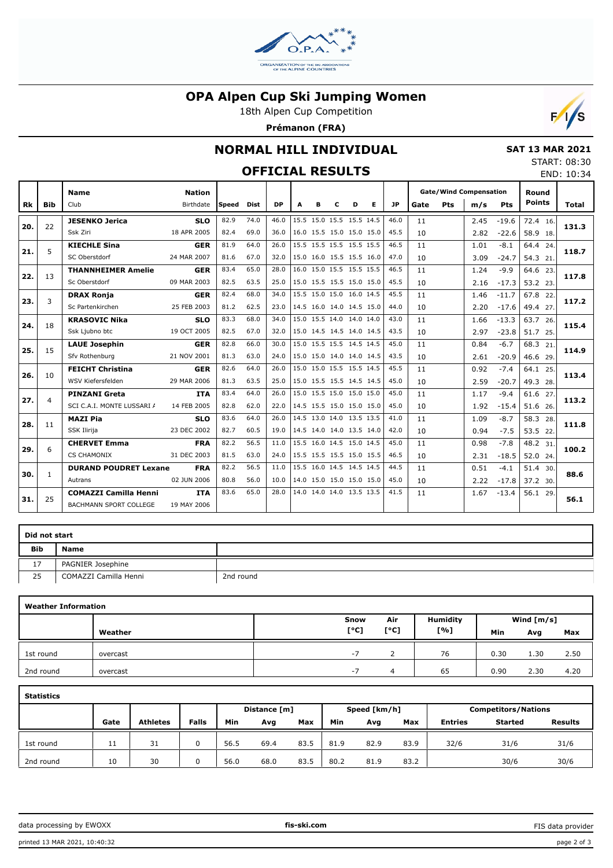

### **OPA Alpen Cup Ski Jumping Women**

18th Alpen Cup Competition

**Prémanon (FRA)**



## **NORMAL HILL INDIVIDUAL**

## **OFFICIAL RESULTS**

|  | <b>SAT 13 MAR 2021</b> |
|--|------------------------|
|  | START: 08:30           |

END: 10:34

| <b>FFICIAL RESULTS</b> |
|------------------------|
|------------------------|

|     |                | <b>Name</b>                   | <b>Nation</b> |       |             |           |                          |   |   |                          |   |           | <b>Gate/Wind Compensation</b> |     |      |         |               | Round |  |
|-----|----------------|-------------------------------|---------------|-------|-------------|-----------|--------------------------|---|---|--------------------------|---|-----------|-------------------------------|-----|------|---------|---------------|-------|--|
| Rk  | <b>Bib</b>     | Club                          | Birthdate     | Speed | <b>Dist</b> | <b>DP</b> | A                        | в | c | D                        | Е | <b>JP</b> | Gate                          | Pts | m/s  | Pts     | <b>Points</b> | Total |  |
| 20. | 22             | <b>JESENKO Jerica</b>         | <b>SLO</b>    | 82.9  | 74.0        | 46.0      |                          |   |   | 15.5 15.0 15.5 15.5 14.5 |   | 46.0      | 11                            |     | 2.45 | $-19.6$ | 72.4 16.      | 131.3 |  |
|     |                | Ssk Ziri                      | 18 APR 2005   | 82.4  | 69.0        | 36.0      | 16.0 15.5 15.0 15.0 15.0 |   |   |                          |   | 45.5      | 10                            |     | 2.82 | $-22.6$ | 58.9 18.      |       |  |
| 21. | 5              | <b>KIECHLE Sina</b>           | <b>GER</b>    | 81.9  | 64.0        | 26.0      |                          |   |   | 15.5 15.5 15.5 15.5 15.5 |   | 46.5      | 11                            |     | 1.01 | $-8.1$  | 64.4 24.      | 118.7 |  |
|     |                | SC Oberstdorf                 | 24 MAR 2007   | 81.6  | 67.0        | 32.0      | 15.0 16.0 15.5 15.5 16.0 |   |   |                          |   | 47.0      | 10                            |     | 3.09 | $-24.7$ | 54.3 21.      |       |  |
| 22. | 13             | <b>THANNHEIMER Amelie</b>     | <b>GER</b>    | 83.4  | 65.0        | 28.0      |                          |   |   | 16.0 15.0 15.5 15.5 15.5 |   | 46.5      | 11                            |     | 1.24 | $-9.9$  | 64.6 23.      | 117.8 |  |
|     |                | Sc Oberstdorf                 | 09 MAR 2003   | 82.5  | 63.5        | 25.0      | 15.0 15.5 15.5 15.0 15.0 |   |   |                          |   | 45.5      | 10                            |     | 2.16 | $-17.3$ | 53.2 23.      |       |  |
| 23. | 3              | <b>DRAX Ronja</b>             | <b>GER</b>    | 82.4  | 68.0        | 34.0      |                          |   |   | 15.5 15.0 15.0 16.0 14.5 |   | 45.5      | 11                            |     | 1.46 | $-11.7$ | 67.8 22.      | 117.2 |  |
|     |                | Sc Partenkirchen              | 25 FEB 2003   | 81.2  | 62.5        | 23.0      |                          |   |   | 14.5 16.0 14.0 14.5 15.0 |   | 44.0      | 10                            |     | 2.20 | $-17.6$ | 49.4 27.      |       |  |
| 24. | 18             | <b>KRASOVIC Nika</b>          | <b>SLO</b>    | 83.3  | 68.0        | 34.0      |                          |   |   | 15.0 15.5 14.0 14.0 14.0 |   | 43.0      | 11                            |     | 1.66 | $-13.3$ | 63.7 26.      | 115.4 |  |
|     |                | Ssk Ljubno btc                | 19 OCT 2005   | 82.5  | 67.0        | 32.0      | 15.0 14.5 14.5 14.0 14.5 |   |   |                          |   | 43.5      | 10                            |     | 2.97 | $-23.8$ | 51.7 25.      |       |  |
| 25. | 15             | <b>LAUE Josephin</b>          | <b>GER</b>    | 82.8  | 66.0        | 30.0      |                          |   |   | 15.0 15.5 15.5 14.5 14.5 |   | 45.0      | 11                            |     | 0.84 | $-6.7$  | 68.3 21.      | 114.9 |  |
|     |                | Sfv Rothenburg                | 21 NOV 2001   | 81.3  | 63.0        | 24.0      |                          |   |   | 15.0 15.0 14.0 14.0 14.5 |   | 43.5      | 10                            |     | 2.61 | $-20.9$ | 46.6 29.      |       |  |
| 26. | 10             | <b>FEICHT Christina</b>       | <b>GER</b>    | 82.6  | 64.0        | 26.0      |                          |   |   | 15.0 15.0 15.5 15.5 14.5 |   | 45.5      | 11                            |     | 0.92 | $-7.4$  | 64.1 25.      | 113.4 |  |
|     |                | WSV Kiefersfelden             | 29 MAR 2006   | 81.3  | 63.5        | 25.0      | 15.0 15.5 15.5 14.5 14.5 |   |   |                          |   | 45.0      | 10                            |     | 2.59 | $-20.7$ | 49.3 28.      |       |  |
| 27. | $\overline{4}$ | <b>PINZANI Greta</b>          | <b>ITA</b>    | 83.4  | 64.0        | 26.0      |                          |   |   | 15.0 15.5 15.0 15.0 15.0 |   | 45.0      | 11                            |     | 1.17 | $-9.4$  | 61.6 27.      | 113.2 |  |
|     |                | SCI C.A.I. MONTE LUSSARI /    | 14 FEB 2005   | 82.8  | 62.0        | 22.0      | 14.5 15.5 15.0 15.0 15.0 |   |   |                          |   | 45.0      | 10                            |     | 1.92 | $-15.4$ | 51.6 26.      |       |  |
| 28. | 11             | <b>MAZI Pia</b>               | <b>SLO</b>    | 83.6  | 64.0        | 26.0      |                          |   |   | 14.5 13.0 14.0 13.5 13.5 |   | 41.0      | 11                            |     | 1.09 | $-8.7$  | 58.3 28.      | 111.8 |  |
|     |                | SSK Ilirija                   | 23 DEC 2002   | 82.7  | 60.5        | 19.0      |                          |   |   | 14.5 14.0 14.0 13.5 14.0 |   | 42.0      | 10                            |     | 0.94 | $-7.5$  | 53.5 22.      |       |  |
| 29. | 6              | <b>CHERVET Emma</b>           | <b>FRA</b>    | 82.2  | 56.5        | 11.0      |                          |   |   | 15.5 16.0 14.5 15.0 14.5 |   | 45.0      | 11                            |     | 0.98 | $-7.8$  | 48.2 31.      | 100.2 |  |
|     |                | <b>CS CHAMONIX</b>            | 31 DEC 2003   | 81.5  | 63.0        | 24.0      | 15.5 15.5 15.5 15.0 15.5 |   |   |                          |   | 46.5      | 10                            |     | 2.31 | $-18.5$ | 52.0 24.      |       |  |
| 30. | 1              | <b>DURAND POUDRET Lexane</b>  | <b>FRA</b>    | 82.2  | 56.5        | 11.0      |                          |   |   | 15.5 16.0 14.5 14.5 14.5 |   | 44.5      | 11                            |     | 0.51 | $-4.1$  | 51.4 30.      | 88.6  |  |
|     |                | Autrans                       | 02 JUN 2006   | 80.8  | 56.0        | 10.0      | 14.0 15.0 15.0 15.0 15.0 |   |   |                          |   | 45.0      | 10                            |     | 2.22 | $-17.8$ | 37.2 30.      |       |  |
| 31. | 25             | <b>COMAZZI Camilla Henni</b>  | <b>ITA</b>    | 83.6  | 65.0        | 28.0      |                          |   |   | 14.0 14.0 14.0 13.5 13.5 |   | 41.5      | 11                            |     | 1.67 | $-13.4$ | 56.1 29.      | 56.1  |  |
|     |                | <b>BACHMANN SPORT COLLEGE</b> | 19 MAY 2006   |       |             |           |                          |   |   |                          |   |           |                               |     |      |         |               |       |  |

| Did not start |                       |           |
|---------------|-----------------------|-----------|
| <b>Bib</b>    | <b>Name</b>           |           |
| 17            | PAGNIER Josephine     |           |
| 25            | COMAZZI Camilla Henni | 2nd round |

|           | <b>Weather Information</b> |      |      |                 |      |              |      |  |  |
|-----------|----------------------------|------|------|-----------------|------|--------------|------|--|--|
|           |                            | Snow | Air  | <b>Humidity</b> |      | Wind $[m/s]$ |      |  |  |
|           | Weather                    | [°C] | [°C] | [%]             | Min  | Avg          | Max  |  |  |
| 1st round | overcast                   | $-7$ |      | 76              | 0.30 | 1.30         | 2.50 |  |  |
| 2nd round | overcast                   | $-1$ | 4    | 65              | 0.90 | 2.30         | 4.20 |  |  |

| <b>Statistics</b> |      |                 |              |      |              |      |      |              |      |                |                            |                |
|-------------------|------|-----------------|--------------|------|--------------|------|------|--------------|------|----------------|----------------------------|----------------|
|                   |      |                 |              |      | Distance [m] |      |      | Speed [km/h] |      |                | <b>Competitors/Nations</b> |                |
|                   | Gate | <b>Athletes</b> | <b>Falls</b> | Min  | Avg          | Max  | Min  | Avg          | Max  | <b>Entries</b> | <b>Started</b>             | <b>Results</b> |
| 1st round         | 11   | 31              |              | 56.5 | 69.4         | 83.5 | 81.9 | 82.9         | 83.9 | 32/6           | 31/6                       | 31/6           |
| 2nd round         | 10   | 30              |              | 56.0 | 68.0         | 83.5 | 80.2 | 81.9         | 83.2 |                | 30/6                       | 30/6           |

data processing by EWOXX **fis-ski.com**

FIS data provider